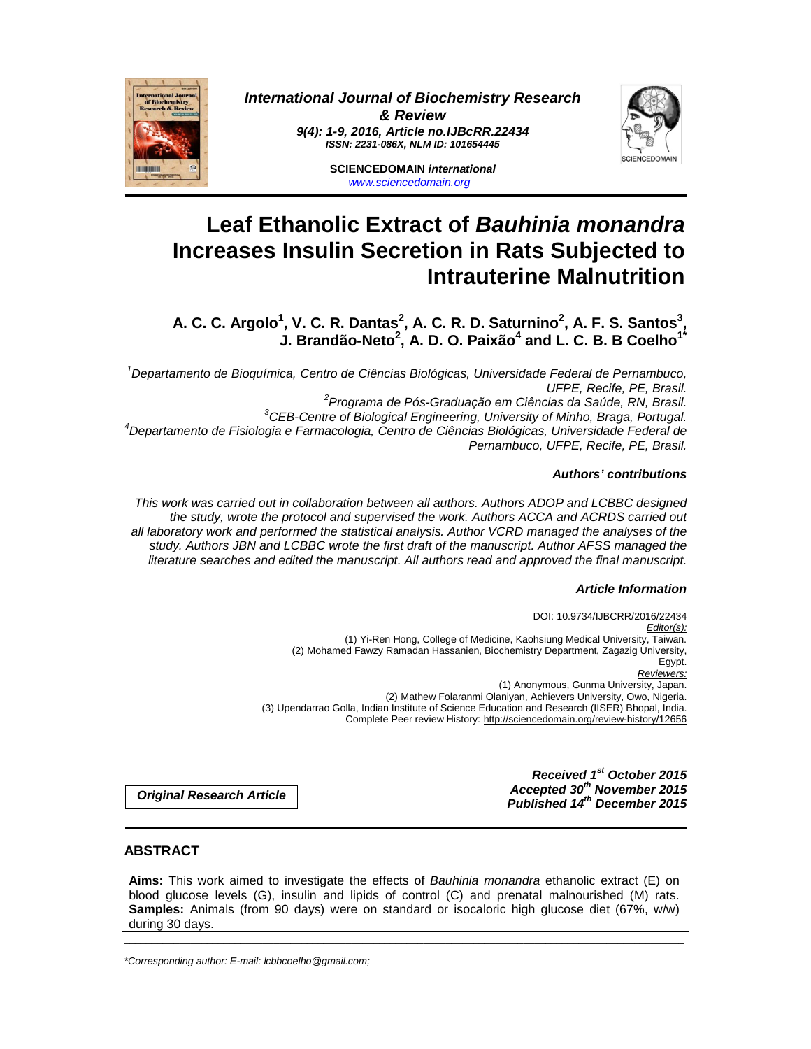

**International Journal of Biochemistry Research & Review 9(4): 1-9, 2016, Article no.IJBcRR.22434 ISSN: 2231-086X, NLM ID: 101654445** 



**SCIENCEDOMAIN international**  www.sciencedomain.org

# **Leaf Ethanolic Extract of Bauhinia monandra Increases Insulin Secretion in Rats Subjected to Intrauterine Malnutrition**

**A. C. C. Argolo<sup>1</sup> , V. C. R. Dantas<sup>2</sup> , A. C. R. D. Saturnino<sup>2</sup> , A. F. S. Santos<sup>3</sup> , J. Brandão-Neto<sup>2</sup> , A. D. O. Paixão<sup>4</sup> and L. C. B. B Coelho1\***

<sup>1</sup>Departamento de Bioquímica, Centro de Ciências Biológicas, Universidade Federal de Pernambuco, UFPE, Recife, PE, Brasil. <sup>2</sup>Programa de Pós-Graduação em Ciências da Saúde, RN, Brasil. <sup>3</sup>CEB-Centre of Biological Engineering, University of Minho, Braga, Portugal. <sup>4</sup>Departamento de Fisiologia e Farmacologia, Centro de Ciências Biológicas, Universidade Federal de Pernambuco, UFPE, Recife, PE, Brasil.

## **Authors' contributions**

This work was carried out in collaboration between all authors. Authors ADOP and LCBBC designed the study, wrote the protocol and supervised the work. Authors ACCA and ACRDS carried out all laboratory work and performed the statistical analysis. Author VCRD managed the analyses of the study. Authors JBN and LCBBC wrote the first draft of the manuscript. Author AFSS managed the literature searches and edited the manuscript. All authors read and approved the final manuscript.

## **Article Information**

DOI: 10.9734/IJBCRR/2016/22434 Editor(s): (1) Yi-Ren Hong, College of Medicine, Kaohsiung Medical University, Taiwan. (2) Mohamed Fawzy Ramadan Hassanien, Biochemistry Department, Zagazig University, Egypt. Reviewers: (1) Anonymous, Gunma University, Japan. (2) Mathew Folaranmi Olaniyan, Achievers University, Owo, Nigeria. (3) Upendarrao Golla, Indian Institute of Science Education and Research (IISER) Bhopal, India. Complete Peer review History: http://sciencedomain.org/review-history/12656

> **Received 1st October 2015 Accepted 30th November 2015 Published 14th December 2015**

**Original Research Article** 

# **ABSTRACT**

**Aims:** This work aimed to investigate the effects of Bauhinia monandra ethanolic extract (E) on blood glucose levels (G), insulin and lipids of control (C) and prenatal malnourished (M) rats. **Samples:** Animals (from 90 days) were on standard or isocaloric high glucose diet (67%, w/w) during 30 days.

\_\_\_\_\_\_\_\_\_\_\_\_\_\_\_\_\_\_\_\_\_\_\_\_\_\_\_\_\_\_\_\_\_\_\_\_\_\_\_\_\_\_\_\_\_\_\_\_\_\_\_\_\_\_\_\_\_\_\_\_\_\_\_\_\_\_\_\_\_\_\_\_\_\_\_\_\_\_\_\_\_\_\_\_\_\_\_\_\_\_\_\_\_\_\_\_\_\_\_\_\_

\*Corresponding author: E-mail: lcbbcoelho@gmail.com;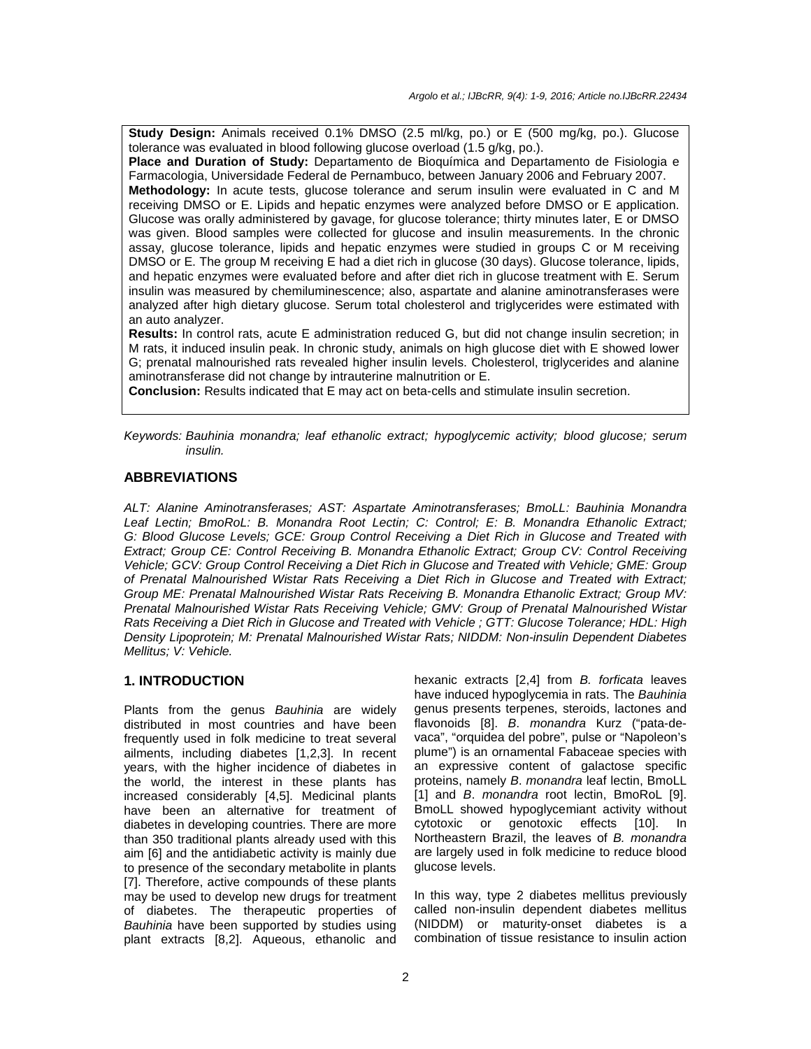**Study Design:** Animals received 0.1% DMSO (2.5 ml/kg, po.) or E (500 mg/kg, po.). Glucose tolerance was evaluated in blood following glucose overload (1.5 g/kg, po.).

**Place and Duration of Study:** Departamento de Bioquímica and Departamento de Fisiologia e Farmacologia, Universidade Federal de Pernambuco, between January 2006 and February 2007.

**Methodology:** In acute tests, glucose tolerance and serum insulin were evaluated in C and M receiving DMSO or E. Lipids and hepatic enzymes were analyzed before DMSO or E application. Glucose was orally administered by gavage, for glucose tolerance; thirty minutes later, E or DMSO was given. Blood samples were collected for glucose and insulin measurements. In the chronic assay, glucose tolerance, lipids and hepatic enzymes were studied in groups C or M receiving DMSO or E. The group M receiving E had a diet rich in glucose (30 days). Glucose tolerance, lipids, and hepatic enzymes were evaluated before and after diet rich in glucose treatment with E. Serum insulin was measured by chemiluminescence; also, aspartate and alanine aminotransferases were analyzed after high dietary glucose. Serum total cholesterol and triglycerides were estimated with an auto analyzer.

**Results:** In control rats, acute E administration reduced G, but did not change insulin secretion; in M rats, it induced insulin peak. In chronic study, animals on high glucose diet with E showed lower G; prenatal malnourished rats revealed higher insulin levels. Cholesterol, triglycerides and alanine aminotransferase did not change by intrauterine malnutrition or E.

**Conclusion:** Results indicated that E may act on beta-cells and stimulate insulin secretion.

Keywords: Bauhinia monandra; leaf ethanolic extract; hypoglycemic activity; blood glucose; serum insulin.

## **ABBREVIATIONS**

ALT: Alanine Aminotransferases; AST: Aspartate Aminotransferases; BmoLL: Bauhinia Monandra Leaf Lectin; BmoRoL: B. Monandra Root Lectin; C: Control; E: B. Monandra Ethanolic Extract; G: Blood Glucose Levels; GCE: Group Control Receiving a Diet Rich in Glucose and Treated with Extract; Group CE: Control Receiving B. Monandra Ethanolic Extract; Group CV: Control Receiving Vehicle; GCV: Group Control Receiving a Diet Rich in Glucose and Treated with Vehicle; GME: Group of Prenatal Malnourished Wistar Rats Receiving a Diet Rich in Glucose and Treated with Extract; Group ME: Prenatal Malnourished Wistar Rats Receiving B. Monandra Ethanolic Extract; Group MV: Prenatal Malnourished Wistar Rats Receiving Vehicle; GMV: Group of Prenatal Malnourished Wistar Rats Receiving a Diet Rich in Glucose and Treated with Vehicle ; GTT: Glucose Tolerance; HDL: High Density Lipoprotein; M: Prenatal Malnourished Wistar Rats; NIDDM: Non-insulin Dependent Diabetes Mellitus; V: Vehicle.

# **1. INTRODUCTION**

Plants from the genus Bauhinia are widely distributed in most countries and have been frequently used in folk medicine to treat several ailments, including diabetes [1,2,3]. In recent years, with the higher incidence of diabetes in the world, the interest in these plants has increased considerably [4,5]. Medicinal plants have been an alternative for treatment of diabetes in developing countries. There are more than 350 traditional plants already used with this aim [6] and the antidiabetic activity is mainly due to presence of the secondary metabolite in plants [7]. Therefore, active compounds of these plants may be used to develop new drugs for treatment of diabetes. The therapeutic properties of Bauhinia have been supported by studies using plant extracts [8,2]. Aqueous, ethanolic and

hexanic extracts [2,4] from B. forficata leaves have induced hypoglycemia in rats. The Bauhinia genus presents terpenes, steroids, lactones and flavonoids [8]. B. monandra Kurz ("pata-devaca", "orquidea del pobre", pulse or "Napoleon's plume") is an ornamental Fabaceae species with an expressive content of galactose specific proteins, namely B. monandra leaf lectin, BmoLL [1] and B. monandra root lectin, BmoRoL [9]. BmoLL showed hypoglycemiant activity without cytotoxic or genotoxic effects [10]. In Northeastern Brazil, the leaves of B. monandra are largely used in folk medicine to reduce blood glucose levels.

In this way, type 2 diabetes mellitus previously called non-insulin dependent diabetes mellitus (NIDDM) or maturity-onset diabetes is a combination of tissue resistance to insulin action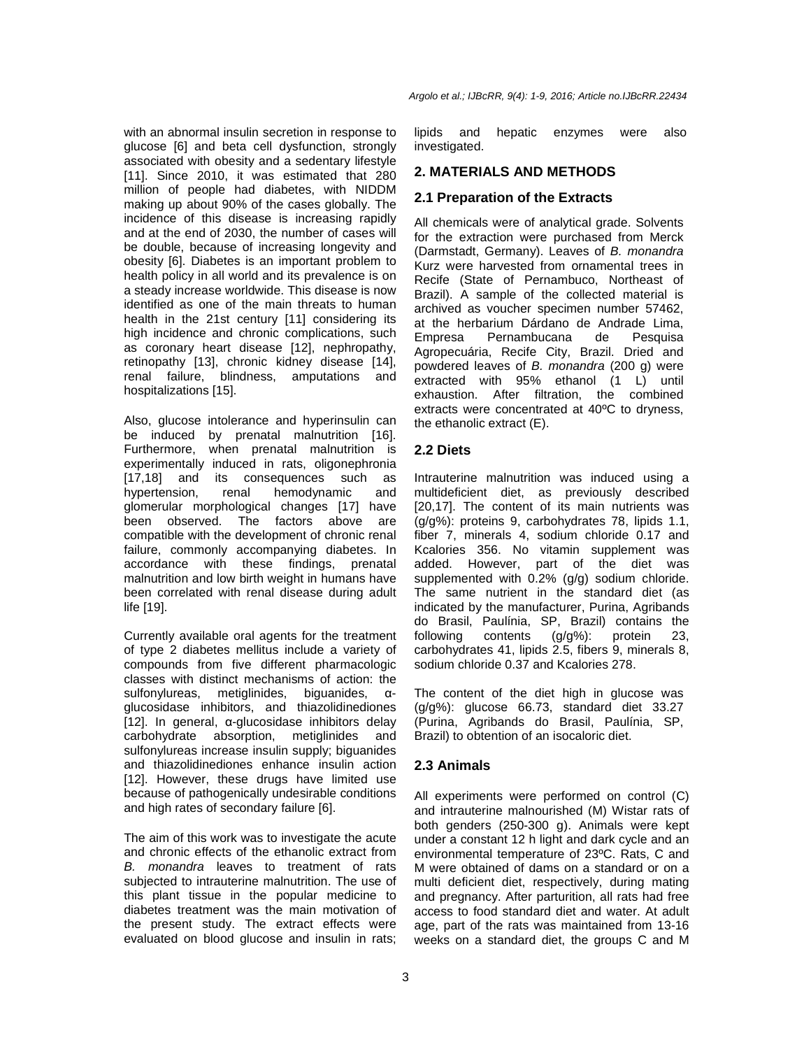with an abnormal insulin secretion in response to glucose [6] and beta cell dysfunction, strongly associated with obesity and a sedentary lifestyle [11]. Since 2010, it was estimated that 280 million of people had diabetes, with NIDDM making up about 90% of the cases globally. The incidence of this disease is increasing rapidly and at the end of 2030, the number of cases will be double, because of increasing longevity and obesity [6]. Diabetes is an important problem to health policy in all world and its prevalence is on a steady increase worldwide. This disease is now identified as one of the main threats to human health in the 21st century [11] considering its high incidence and chronic complications, such as coronary heart disease [12], nephropathy, retinopathy [13], chronic kidney disease [14], renal failure, blindness, amputations and hospitalizations [15].

Also, glucose intolerance and hyperinsulin can be induced by prenatal malnutrition [16]. Furthermore, when prenatal malnutrition is experimentally induced in rats, oligonephronia [17,18] and its consequences such as hypertension, renal hemodynamic and glomerular morphological changes [17] have been observed. The factors above are compatible with the development of chronic renal failure, commonly accompanying diabetes. In accordance with these findings, prenatal malnutrition and low birth weight in humans have been correlated with renal disease during adult life [19].

Currently available oral agents for the treatment of type 2 diabetes mellitus include a variety of compounds from five different pharmacologic classes with distinct mechanisms of action: the sulfonylureas, metiglinides, biguanides, αglucosidase inhibitors, and thiazolidinediones [12]. In general, α-glucosidase inhibitors delay carbohydrate absorption, metiglinides and sulfonylureas increase insulin supply; biguanides and thiazolidinediones enhance insulin action [12]. However, these drugs have limited use because of pathogenically undesirable conditions and high rates of secondary failure [6].

The aim of this work was to investigate the acute and chronic effects of the ethanolic extract from B. monandra leaves to treatment of rats subjected to intrauterine malnutrition. The use of this plant tissue in the popular medicine to diabetes treatment was the main motivation of the present study. The extract effects were evaluated on blood glucose and insulin in rats;

Argolo et al.; IJBcRR, 9(4): 1-9, 2016; Article no.IJBcRR.22434

lipids and hepatic enzymes were also investigated.

#### **2. MATERIALS AND METHODS**

#### **2.1 Preparation of the Extracts**

All chemicals were of analytical grade. Solvents for the extraction were purchased from Merck (Darmstadt, Germany). Leaves of B. monandra Kurz were harvested from ornamental trees in Recife (State of Pernambuco, Northeast of Brazil). A sample of the collected material is archived as voucher specimen number 57462, at the herbarium Dárdano de Andrade Lima, Empresa Pernambucana de Pesquisa Agropecuária, Recife City, Brazil. Dried and powdered leaves of B. monandra (200 g) were extracted with 95% ethanol (1 L) until exhaustion. After filtration, the combined extracts were concentrated at 40ºC to dryness, the ethanolic extract (E).

#### **2.2 Diets**

Intrauterine malnutrition was induced using a multideficient diet, as previously described [20,17]. The content of its main nutrients was (g/g%): proteins 9, carbohydrates 78, lipids 1.1, fiber 7, minerals 4, sodium chloride 0.17 and Kcalories 356. No vitamin supplement was added. However, part of the diet was supplemented with 0.2% (g/g) sodium chloride. The same nutrient in the standard diet (as indicated by the manufacturer, Purina, Agribands do Brasil, Paulínia, SP, Brazil) contains the following contents (g/g%): protein 23, carbohydrates 41, lipids 2.5, fibers 9, minerals 8, sodium chloride 0.37 and Kcalories 278.

The content of the diet high in glucose was (g/g%): glucose 66.73, standard diet 33.27 (Purina, Agribands do Brasil, Paulínia, SP, Brazil) to obtention of an isocaloric diet.

## **2.3 Animals**

All experiments were performed on control (C) and intrauterine malnourished (M) Wistar rats of both genders (250-300 g). Animals were kept under a constant 12 h light and dark cycle and an environmental temperature of 23ºC. Rats, C and M were obtained of dams on a standard or on a multi deficient diet, respectively, during mating and pregnancy. After parturition, all rats had free access to food standard diet and water. At adult age, part of the rats was maintained from 13-16 weeks on a standard diet, the groups C and M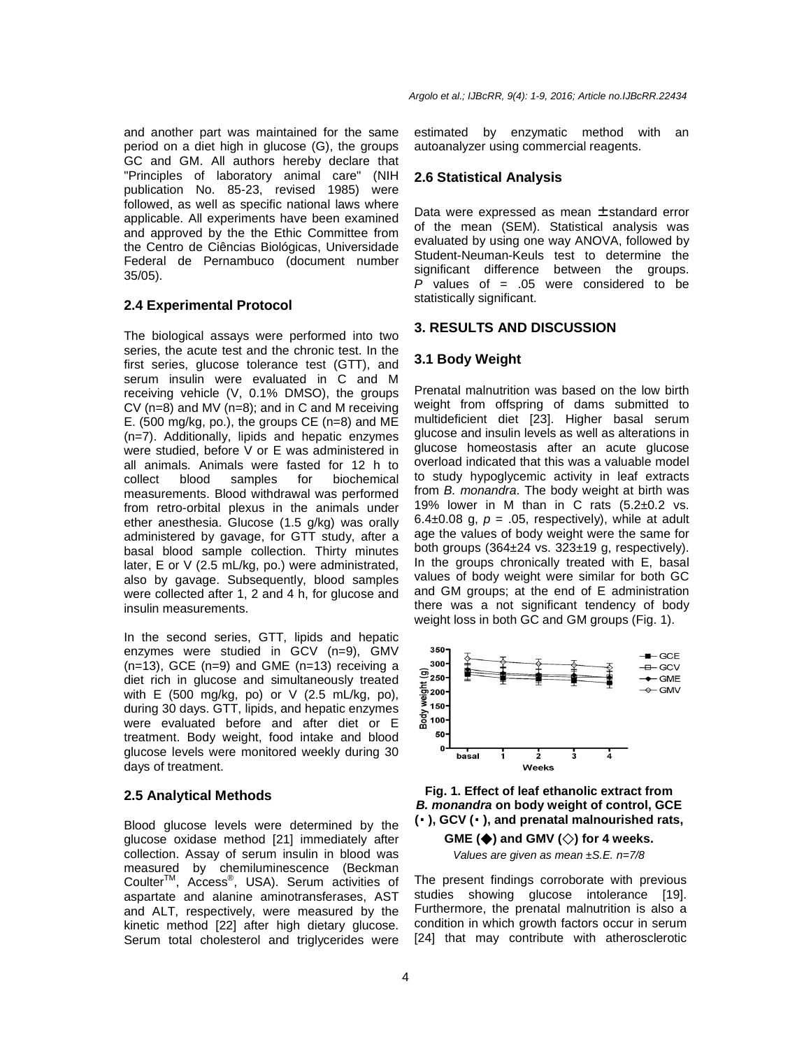and another part was maintained for the same period on a diet high in glucose (G), the groups GC and GM. All authors hereby declare that "Principles of laboratory animal care" (NIH publication No. 85-23, revised 1985) were followed, as well as specific national laws where applicable. All experiments have been examined and approved by the the Ethic Committee from the Centro de Ciências Biológicas, Universidade Federal de Pernambuco (document number 35/05).

## **2.4 Experimental Protocol**

The biological assays were performed into two series, the acute test and the chronic test. In the first series, glucose tolerance test (GTT), and serum insulin were evaluated in C and M receiving vehicle (V, 0.1% DMSO), the groups CV (n=8) and MV (n=8); and in C and M receiving E. (500 mg/kg, po.), the groups CE (n=8) and ME (n=7). Additionally, lipids and hepatic enzymes were studied, before V or E was administered in all animals. Animals were fasted for 12 h to collect blood samples for biochemical measurements. Blood withdrawal was performed from retro-orbital plexus in the animals under ether anesthesia. Glucose (1.5 g/kg) was orally administered by gavage, for GTT study, after a basal blood sample collection. Thirty minutes later, E or V (2.5 mL/kg, po.) were administrated, also by gavage. Subsequently, blood samples were collected after 1, 2 and 4 h, for glucose and insulin measurements.

In the second series, GTT, lipids and hepatic enzymes were studied in GCV (n=9), GMV (n=13), GCE (n=9) and GME (n=13) receiving a diet rich in glucose and simultaneously treated with E (500 mg/kg, po) or V (2.5 mL/kg, po), during 30 days. GTT, lipids, and hepatic enzymes were evaluated before and after diet or E treatment. Body weight, food intake and blood glucose levels were monitored weekly during 30 days of treatment.

## **2.5 Analytical Methods**

Blood glucose levels were determined by the glucose oxidase method [21] immediately after collection. Assay of serum insulin in blood was measured by chemiluminescence (Beckman CoulterTM, Access® , USA). Serum activities of aspartate and alanine aminotransferases, AST and ALT, respectively, were measured by the kinetic method [22] after high dietary glucose. Serum total cholesterol and triglycerides were

estimated by enzymatic method with an autoanalyzer using commercial reagents.

#### **2.6 Statistical Analysis**

Data were expressed as mean  $\pm$  standard error of the mean (SEM). Statistical analysis was evaluated by using one way ANOVA, followed by Student-Neuman-Keuls test to determine the significant difference between the groups. P values of  $= .05$  were considered to be statistically significant.

## **3. RESULTS AND DISCUSSION**

#### **3.1 Body Weight**

Prenatal malnutrition was based on the low birth weight from offspring of dams submitted to multideficient diet [23]. Higher basal serum glucose and insulin levels as well as alterations in glucose homeostasis after an acute glucose overload indicated that this was a valuable model to study hypoglycemic activity in leaf extracts from B. monandra. The body weight at birth was 19% lower in M than in C rats  $(5.2\pm0.2 \text{ vs.})$ 6.4 $\pm$ 0.08 g,  $p = 0.05$ , respectively), while at adult age the values of body weight were the same for both groups  $(364\pm24 \text{ vs. } 323\pm19 \text{ g. respectively}).$ In the groups chronically treated with E, basal values of body weight were similar for both GC and GM groups; at the end of E administration there was a not significant tendency of body weight loss in both GC and GM groups (Fig. 1).



**Fig. 1. Effect of leaf ethanolic extract from B. monandra on body weight of control, GCE (**⬛ **), GCV (**⬛ **), and prenatal malnourished rats,** 

**GME (◆) and GMV (◇) for 4 weeks.**  Values are given as mean  $±S.E.$  n=7/8

The present findings corroborate with previous studies showing glucose intolerance [19]. Furthermore, the prenatal malnutrition is also a condition in which growth factors occur in serum [24] that may contribute with atherosclerotic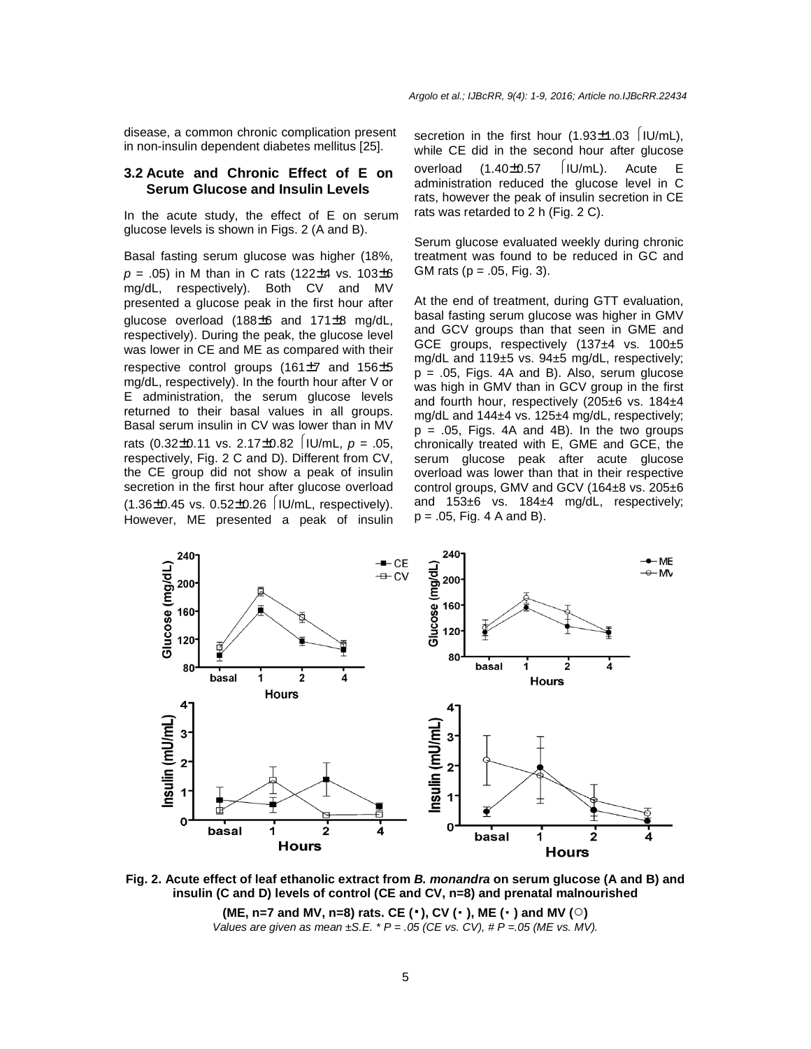disease, a common chronic complication present in non-insulin dependent diabetes mellitus [25].

## **3.2 Acute and Chronic Effect of E on Serum Glucose and Insulin Levels**

In the acute study, the effect of E on serum glucose levels is shown in Figs. 2 (A and B).

Basal fasting serum glucose was higher (18%,  $p = .05$ ) in M than in C rats (122±4 vs. 103±6 mg/dL, respectively). Both CV and MV presented a glucose peak in the first hour after glucose overload (188±6 and 171±8 mg/dL, respectively). During the peak, the glucose level was lower in CE and ME as compared with their respective control groups (161±7 and 156±5 mg/dL, respectively). In the fourth hour after V or E administration, the serum glucose levels returned to their basal values in all groups. Basal serum insulin in CV was lower than in MV rats  $(0.32 \pm 0.11 \text{ vs. } 2.17 \pm 0.82 \text{ |IU/mL, } p = .05,$ respectively, Fig. 2 C and D). Different from CV, the CE group did not show a peak of insulin secretion in the first hour after glucose overload  $(1.36\pm0.45 \text{ vs. } 0.52\pm0.26 \text{ |IU/mL, respectively)}.$ However, ME presented a peak of insulin secretion in the first hour  $(1.93\pm1.03$  |IU/mL), while CE did in the second hour after glucose overload  $(1.40\pm0.57 \quad |IU/mL)$ . Acute E administration reduced the glucose level in C rats, however the peak of insulin secretion in CE rats was retarded to 2 h (Fig. 2 C).

Serum glucose evaluated weekly during chronic treatment was found to be reduced in GC and GM rats ( $p = .05$ , Fig. 3).

At the end of treatment, during GTT evaluation, basal fasting serum glucose was higher in GMV and GCV groups than that seen in GME and GCE groups, respectively (137±4 vs. 100±5 mg/dL and 119±5 vs. 94±5 mg/dL, respectively;  $p = .05$ , Figs. 4A and B). Also, serum glucose was high in GMV than in GCV group in the first and fourth hour, respectively (205±6 vs. 184±4 mg/dL and 144±4 vs. 125±4 mg/dL, respectively;  $p = .05$ , Figs. 4A and 4B). In the two groups chronically treated with E, GME and GCE, the serum glucose peak after acute glucose overload was lower than that in their respective control groups, GMV and GCV (164±8 vs. 205±6 and 153±6 vs. 184±4 mg/dL, respectively;  $p = .05$ , Fig. 4 A and B).



**Fig. 2. Acute effect of leaf ethanolic extract from B. monandra on serum glucose (A and B) and insulin (C and D) levels of control (CE and CV, n=8) and prenatal malnourished (ME, n=7 and MV, n=8) rats. CE (**⬛**), CV (**⬛ **), ME (**⬛ **) and MV (○)** 

Values are given as mean  $\pm$ S.E. \* P = .05 (CE vs. CV), # P = 05 (ME vs. MV).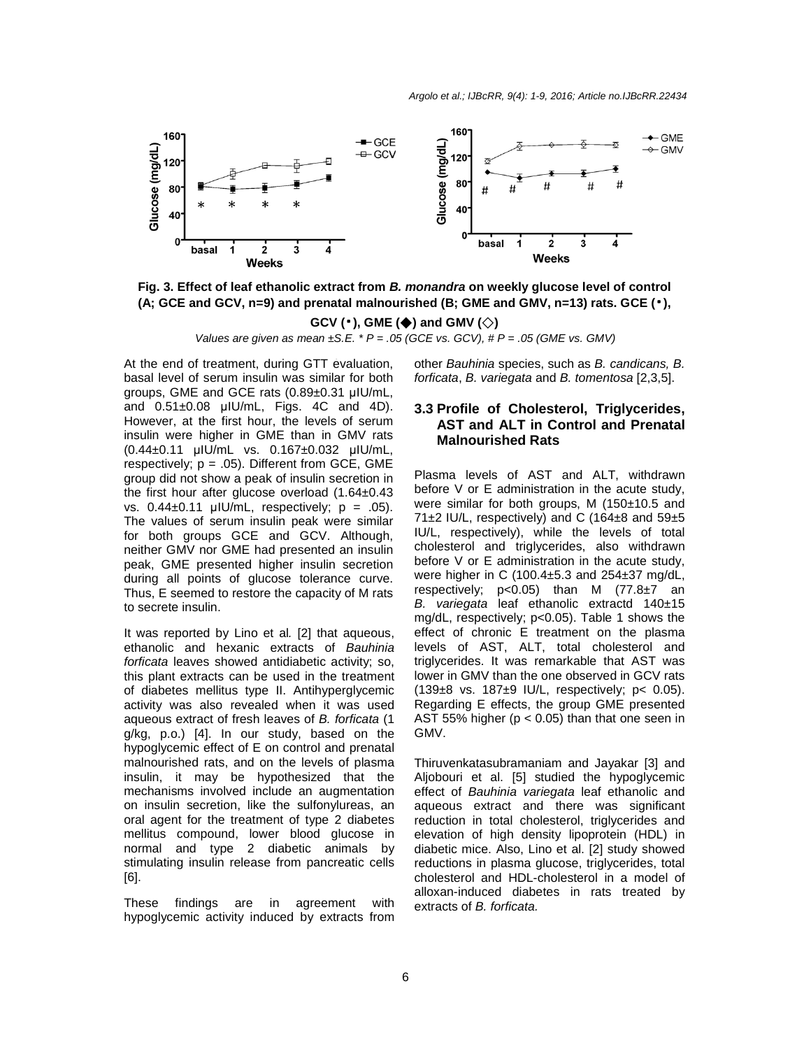

**Fig. 3. Effect of leaf ethanolic extract from B. monandra on weekly glucose level of control (A; GCE and GCV, n=9) and prenatal malnourished (B; GME and GMV, n=13) rats. GCE (**⬛**),** 

**GCV (**⬛**), GME (◆) and GMV (◇)** 

Values are given as mean  $\pm$ S.E. \* P = .05 (GCE vs. GCV), # P = .05 (GME vs. GMV)

At the end of treatment, during GTT evaluation, At the end of treatment, danny GTT evaluation,<br>basal level of serum insulin was similar for both groups, GME and GCE rats (0.89±0.31 µIU/mL, and 0.51±0.08 µIU/mL, Figs. 4C and 4D). However, at the first hour, the levels of serum insulin were higher in GME than in GMV rats (0.44±0.11 µIU/mL vs. 0.167±0.032 µIU/mL, respectively;  $p = .05$ ). Different from GCE, GME group did not show a peak of insulin secretion in the first hour after glucose overload (1.64±0.43 vs.  $0.44\pm0.11$  µIU/mL, respectively;  $p = .05$ ). The values of serum insulin peak were similar for both groups GCE and GCV. Although, neither GMV nor GME had presented an insulin peak, GME presented higher insulin secretion during all points of glucose tolerance curve. Thus, E seemed to restore the capacity of M rats to secrete insulin.

It was reported by Lino et al. [2] that aqueous, ethanolic and hexanic extracts of Bauhinia forficata leaves showed antidiabetic activity; so, this plant extracts can be used in the treatment of diabetes mellitus type II. Antihyperglycemic activity was also revealed when it was used aqueous extract of fresh leaves of B. forficata (1 g/kg, p.o.) [4]. In our study, based on the hypoglycemic effect of E on control and prenatal malnourished rats, and on the levels of plasma insulin, it may be hypothesized that the mechanisms involved include an augmentation on insulin secretion, like the sulfonylureas, an oral agent for the treatment of type 2 diabetes mellitus compound, lower blood glucose in normal and type 2 diabetic animals by stimulating insulin release from pancreatic cells [6].

These findings are in agreement with hypoglycemic activity induced by extracts from other Bauhinia species, such as B. candicans, B. forficata, B. variegata and B. tomentosa [2,3,5].

# **3.3 Profile of Cholesterol, Triglycerides, AST and ALT in Control and Prenatal Malnourished Rats**

Plasma levels of AST and ALT, withdrawn before V or E administration in the acute study, were similar for both groups, M (150±10.5 and 71 $\pm$ 2 IU/L, respectively) and C (164 $\pm$ 8 and 59 $\pm$ 5 IU/L, respectively), while the levels of total cholesterol and triglycerides, also withdrawn before V or E administration in the acute study, were higher in C (100.4±5.3 and 254±37 mg/dL, respectively;  $p<0.05$ ) than M  $(77.8\pm7)$  an B. variegata leaf ethanolic extractd 140±15 mg/dL, respectively; p<0.05). Table 1 shows the effect of chronic E treatment on the plasma levels of AST, ALT, total cholesterol and triglycerides. It was remarkable that AST was lower in GMV than the one observed in GCV rats (139±8 vs. 187±9 IU/L, respectively; p< 0.05). Regarding E effects, the group GME presented AST 55% higher ( $p < 0.05$ ) than that one seen in GMV.

Thiruvenkatasubramaniam and Jayakar [3] and Aljobouri et al. [5] studied the hypoglycemic effect of Bauhinia variegata leaf ethanolic and aqueous extract and there was significant reduction in total cholesterol, triglycerides and elevation of high density lipoprotein (HDL) in diabetic mice. Also, Lino et al. [2] study showed reductions in plasma glucose, triglycerides, total cholesterol and HDL-cholesterol in a model of alloxan-induced diabetes in rats treated by extracts of B. forficata.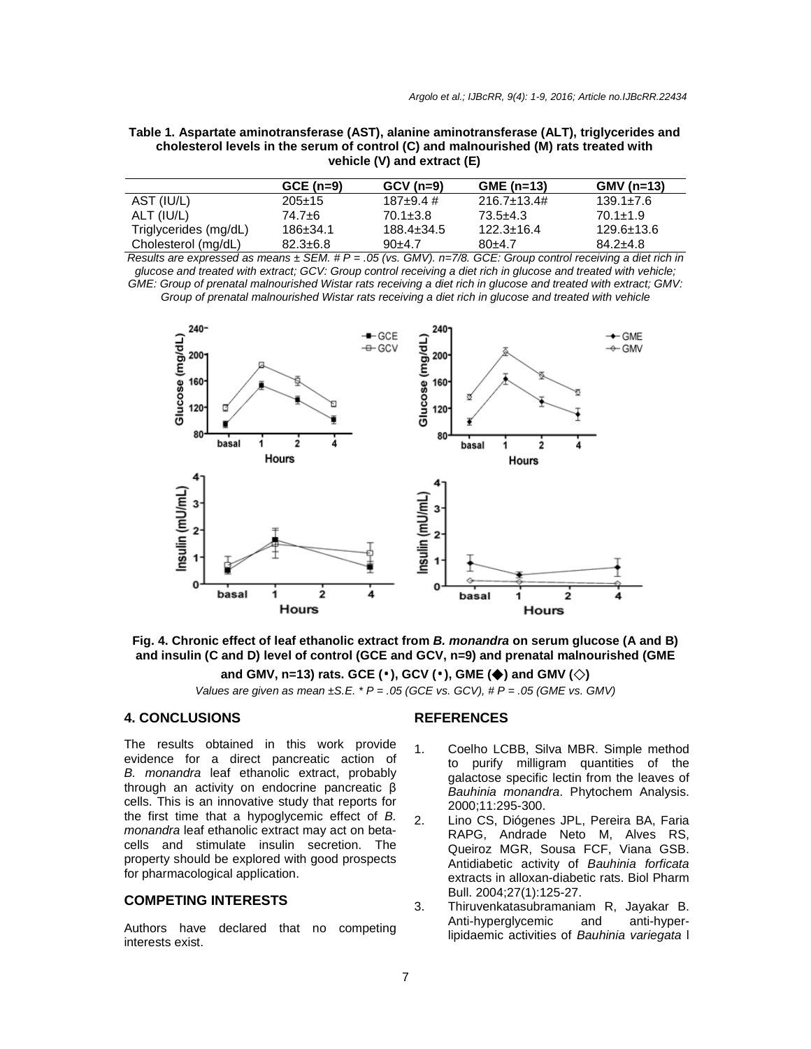| Table 1. Aspartate aminotransferase (AST), alanine aminotransferase (ALT), triglycerides and |
|----------------------------------------------------------------------------------------------|
| cholesterol levels in the serum of control (C) and malnourished (M) rats treated with        |
| vehicle (V) and extract (E)                                                                  |
|                                                                                              |

|                       | $GCE (n=9)$    | $GCV(n=9)$       | $GME$ (n=13)        | $GMV(n=13)$      |
|-----------------------|----------------|------------------|---------------------|------------------|
| AST (IU/L)            | $205 \pm 15$   | $187 + 9.4 \#$   | $216.7 \pm 13.4 \#$ | $139.1 \pm 7.6$  |
| ALT (IU/L)            | 74.7±6         | $70.1 \pm 3.8$   | 73.5+4.3            | $70.1 \pm 1.9$   |
| Triglycerides (mg/dL) | $186 \pm 34.1$ | $188.4 \pm 34.5$ | $122.3 \pm 16.4$    | $129.6 \pm 13.6$ |
| Cholesterol (mg/dL)   | $82.3 \pm 6.8$ | $90+4.7$         | $80+4.7$            | $84.2 + 4.8$     |

Results are expressed as means  $\pm$  SEM. # P = .05 (vs. GMV). n=7/8. GCE: Group control receiving a diet rich in glucose and treated with extract; GCV: Group control receiving a diet rich in glucose and treated with vehicle; GME: Group of prenatal malnourished Wistar rats receiving a diet rich in glucose and treated with extract; GMV: Group of prenatal malnourished Wistar rats receiving a diet rich in glucose and treated with vehicle



**Fig. 4. Chronic effect of leaf ethanolic extract from B. monandra on serum glucose (A and B) and insulin (C and D) level of control (GCE and GCV, n=9) and prenatal malnourished (GME** 

**and GMV, n=13) rats. GCE (**⬛**), GCV (**⬛**), GME (◆) and GMV (◇)** 

Values are given as mean  $\pm$ S.E.  $*$  P = .05 (GCE vs. GCV),  $#P = .05$  (GME vs. GMV)

## **4. CONCLUSIONS**

The results obtained in this work provide evidence for a direct pancreatic action of B. monandra leaf ethanolic extract, probably through an activity on endocrine pancreatic β cells. This is an innovative study that reports for the first time that a hypoglycemic effect of B. monandra leaf ethanolic extract may act on betacells and stimulate insulin secretion. The property should be explored with good prospects for pharmacological application.

# **COMPETING INTERESTS**

Authors have declared that no competing interests exist.

# **REFERENCES**

- 1. Coelho LCBB, Silva MBR. Simple method to purify milligram quantities of the galactose specific lectin from the leaves of Bauhinia monandra. Phytochem Analysis. 2000;11:295-300.
- 2. Lino CS, Diógenes JPL, Pereira BA, Faria RAPG, Andrade Neto M, Alves RS, Queiroz MGR, Sousa FCF, Viana GSB. Antidiabetic activity of Bauhinia forficata extracts in alloxan-diabetic rats. Biol Pharm Bull. 2004;27(1):125-27.
- 3. Thiruvenkatasubramaniam R, Jayakar B. Anti-hyperglycemic and anti-hyperlipidaemic activities of Bauhinia variegata l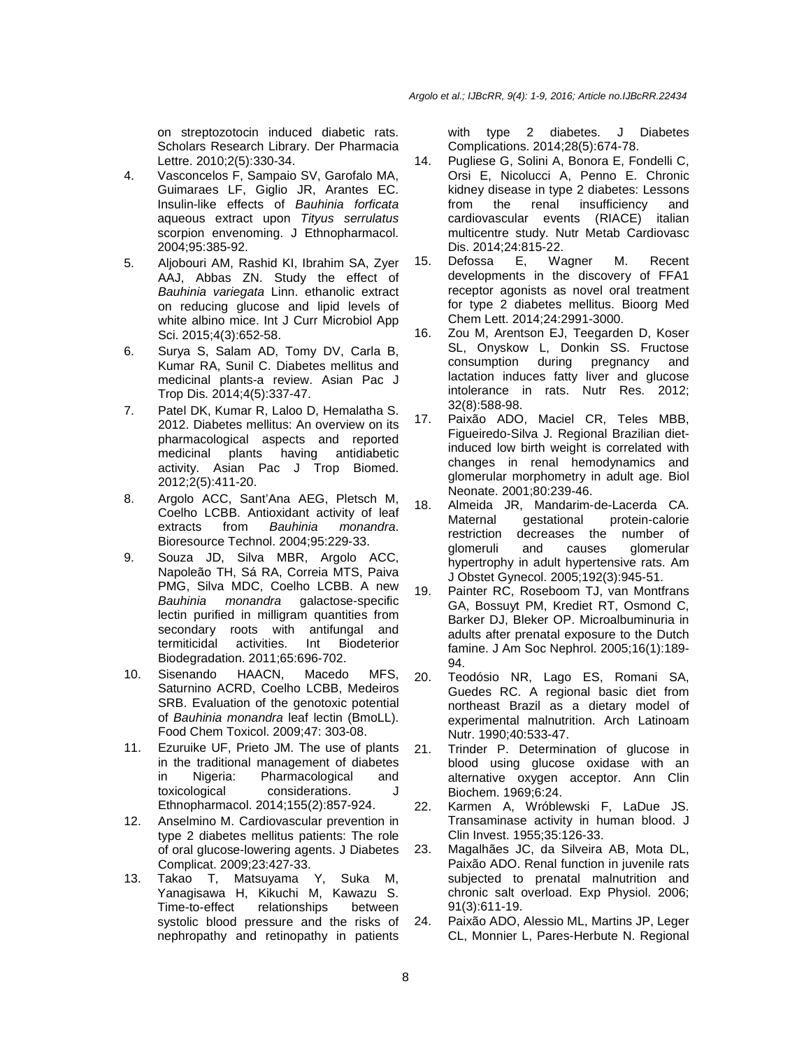on streptozotocin induced diabetic rats. Scholars Research Library. Der Pharmacia Lettre. 2010;2(5):330-34.

- 4. Vasconcelos F, Sampaio SV, Garofalo MA, Guimaraes LF, Giglio JR, Arantes EC. Insulin-like effects of Bauhinia forficata aqueous extract upon Tityus serrulatus scorpion envenoming. J Ethnopharmacol. 2004;95:385-92.
- 5. Aljobouri AM, Rashid KI, Ibrahim SA, Zyer AAJ, Abbas ZN. Study the effect of Bauhinia variegata Linn. ethanolic extract on reducing glucose and lipid levels of white albino mice. Int J Curr Microbiol App Sci. 2015;4(3):652-58.
- 6. Surya S, Salam AD, Tomy DV, Carla B, Kumar RA, Sunil C. Diabetes mellitus and medicinal plants-a review. Asian Pac J Trop Dis. 2014;4(5):337-47.
- 7. Patel DK, Kumar R, Laloo D, Hemalatha S. 2012. Diabetes mellitus: An overview on its pharmacological aspects and reported medicinal plants having antidiabetic activity. Asian Pac J Trop Biomed. 2012;2(5):411-20.
- 8. Argolo ACC, Sant'Ana AEG, Pletsch M, Coelho LCBB. Antioxidant activity of leaf extracts from Bauhinia monandra. Bioresource Technol. 2004;95:229-33.
- 9. Souza JD, Silva MBR, Argolo ACC, Napoleão TH, Sá RA, Correia MTS, Paiva PMG, Silva MDC, Coelho LCBB. A new Bauhinia monandra galactose-specific lectin purified in milligram quantities from secondary roots with antifungal and termiticidal activities. Int Biodeterior Biodegradation. 2011;65:696-702.
- 10. Sisenando HAACN, Macedo MFS, Saturnino ACRD, Coelho LCBB, Medeiros SRB. Evaluation of the genotoxic potential of Bauhinia monandra leaf lectin (BmoLL). Food Chem Toxicol. 2009;47: 303-08.
- 11. Ezuruike UF, Prieto JM. The use of plants in the traditional management of diabetes in Nigeria: Pharmacological and toxicological considerations. J Ethnopharmacol. 2014;155(2):857-924.
- 12. Anselmino M. Cardiovascular prevention in type 2 diabetes mellitus patients: The role of oral glucose-lowering agents. J Diabetes Complicat. 2009;23:427-33.
- 13. Takao T, Matsuyama Y, Suka M, Yanagisawa H, Kikuchi M, Kawazu S. Time-to-effect relationships between systolic blood pressure and the risks of nephropathy and retinopathy in patients

with type 2 diabetes. J Diabetes Complications. 2014;28(5):674-78.

- 14. Pugliese G, Solini A, Bonora E, Fondelli C, Orsi E, Nicolucci A, Penno E. Chronic kidney disease in type 2 diabetes: Lessons from the renal insufficiency and cardiovascular events (RIACE) italian multicentre study. Nutr Metab Cardiovasc Dis. 2014;24:815-22.
- 15. Defossa E, Wagner M. Recent developments in the discovery of FFA1 receptor agonists as novel oral treatment for type 2 diabetes mellitus. Bioorg Med Chem Lett. 2014;24:2991-3000.
- 16. Zou M, Arentson EJ, Teegarden D, Koser SL, Onyskow L, Donkin SS. Fructose consumption during pregnancy and lactation induces fatty liver and glucose intolerance in rats. Nutr Res. 2012; 32(8):588-98.
- 17. Paixão ADO, Maciel CR, Teles MBB, Figueiredo-Silva J. Regional Brazilian dietinduced low birth weight is correlated with changes in renal hemodynamics and glomerular morphometry in adult age. Biol Neonate. 2001;80:239-46.
- 18. Almeida JR, Mandarim-de-Lacerda CA. Maternal gestational protein-calorie restriction decreases the number of glomeruli and causes glomerular hypertrophy in adult hypertensive rats. Am J Obstet Gynecol. 2005;192(3):945-51.
- 19. Painter RC, Roseboom TJ, van Montfrans GA, Bossuyt PM, Krediet RT, Osmond C, Barker DJ, Bleker OP. Microalbuminuria in adults after prenatal exposure to the Dutch famine. J Am Soc Nephrol. 2005;16(1):189- 94.
- 20. Teodósio NR, Lago ES, Romani SA, Guedes RC. A regional basic diet from northeast Brazil as a dietary model of experimental malnutrition. Arch Latinoam Nutr. 1990;40:533-47.
- 21. Trinder P. Determination of glucose in blood using glucose oxidase with an alternative oxygen acceptor. Ann Clin Biochem. 1969;6:24.
- 22. Karmen A, Wróblewski F, LaDue JS. Transaminase activity in human blood. J Clin Invest. 1955;35:126-33.
- 23. Magalhães JC, da Silveira AB, Mota DL, Paixão ADO. Renal function in juvenile rats subjected to prenatal malnutrition and chronic salt overload. Exp Physiol. 2006; 91(3):611-19.
- 24. Paixão ADO, Alessio ML, Martins JP, Leger CL, Monnier L, Pares-Herbute N. Regional